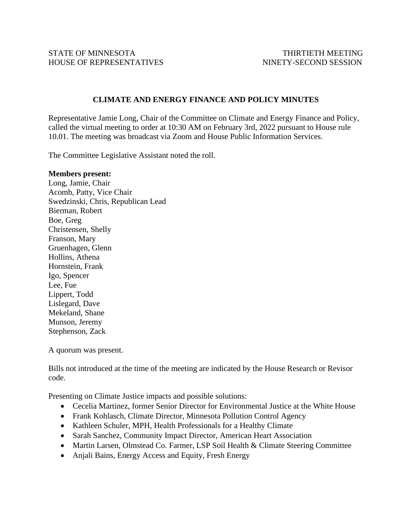## **CLIMATE AND ENERGY FINANCE AND POLICY MINUTES**

Representative Jamie Long, Chair of the Committee on Climate and Energy Finance and Policy, called the virtual meeting to order at 10:30 AM on February 3rd, 2022 pursuant to House rule 10.01. The meeting was broadcast via Zoom and House Public Information Services.

The Committee Legislative Assistant noted the roll.

## **Members present:**

Long, Jamie, Chair Acomb, Patty, Vice Chair Swedzinski, Chris, Republican Lead Bierman, Robert Boe, Greg Christensen, Shelly Franson, Mary Gruenhagen, Glenn Hollins, Athena Hornstein, Frank Igo, Spencer Lee, Fue Lippert, Todd Lislegard, Dave Mekeland, Shane Munson, Jeremy Stephenson, Zack

A quorum was present.

Bills not introduced at the time of the meeting are indicated by the House Research or Revisor code.

Presenting on Climate Justice impacts and possible solutions:

- Cecelia Martinez, former Senior Director for Environmental Justice at the White House
- Frank Kohlasch, Climate Director, Minnesota Pollution Control Agency
- Kathleen Schuler, MPH, Health Professionals for a Healthy Climate
- Sarah Sanchez, Community Impact Director, American Heart Association
- Martin Larsen, Olmstead Co. Farmer, LSP Soil Health & Climate Steering Committee
- Anjali Bains, Energy Access and Equity, Fresh Energy